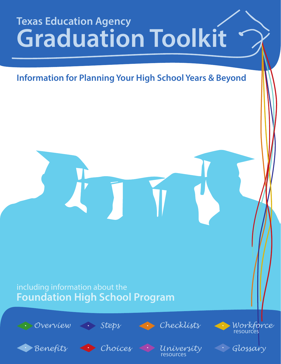# **Texas Education Agency Graduation Toolkit**

## **Information for Planning Your High School Years & Beyond**

## including information about the **Foundation High School Program**







resources



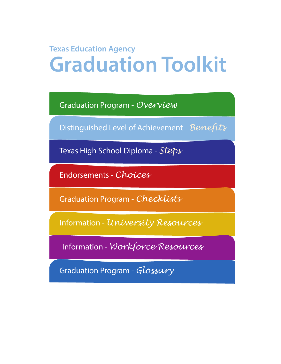## <span id="page-1-0"></span>**Texas Education Agency Graduation Toolkit**

[Graduation Program -](#page-2-0) *Overview*

[Distinguished Level of Achievement -](#page-3-0) *Benefits*

[Texas High School Diploma -](#page-4-0) *Steps*

[Endorsements -](#page-5-0) *Choices*

[Graduation Program -](#page-6-0) *Checklists*

Information - *[University Resources](#page-7-0)*

Information - *[Workforce Resources](#page-8-0)*

[Graduation Program -](#page-9-0) *Glossary*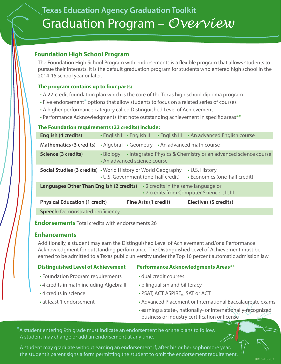## <span id="page-2-0"></span>**[Texas Education Agency Graduation Toolkit](#page-1-0)** Graduation Program – *Overview*

### **Foundation High School Program**

The Foundation High School Program with endorsements is a flexible program that allows students to pursue their interests. It is the default graduation program for students who entered high school in the 2014-15 school year or later.

### **The program contains up to four parts:**

- A 22-credit foundation plan which is the core of the Texas high school diploma program
- Five endorsement**\*** options that allow students to focus on a related series of courses
- A higher performance category called Distinguished Level of Achievement
- Performance Acknowledgments that note outstanding achievement in specific areas\*\*

### **The Foundation requirements (22 credits) include:**

| English (4 credits)                                                                                                                       | $\cdot$ English $\vert \cdot$ English II         | • English III | • An advanced English course                                   |  |
|-------------------------------------------------------------------------------------------------------------------------------------------|--------------------------------------------------|---------------|----------------------------------------------------------------|--|
| <b>Mathematics (3 credits)</b>                                                                                                            | • Algebra I • Geometry • An advanced math course |               |                                                                |  |
| Science (3 credits)                                                                                                                       | • Biology<br>• An advanced science course        |               | • Integrated Physics & Chemistry or an advanced science course |  |
| <b>Social Studies (3 credits)</b> • World History or World Geography                                                                      | • U.S. Government (one-half credit)              |               | • U.S. History<br>• Economics (one-half credit)                |  |
| <b>Languages Other Than English (2 credits)</b> $\cdot$ 2 credits in the same language or<br>• 2 credits from Computer Science I, II, III |                                                  |               |                                                                |  |
| <b>Physical Education (1 credit)</b>                                                                                                      | Fine Arts (1 credit)                             |               | Electives (5 credits)                                          |  |
| <b>Speech: Demonstrated proficiency</b>                                                                                                   |                                                  |               |                                                                |  |

**Endorsements** Total credits with endorsements 26

### **Enhancements**

Additionally, a student may earn the Distinguished Level of Achievement and/or a Performance Acknowledgment for outstanding performance. The Distinguished Level of Achievement must be earned to be admitted to a Texas public university under the Top 10 percent automatic admission law.

### **Distinguished Level of Achievement Performance Acknowledgments Areas\*\***

- Foundation Program requirements dual credit courses
- 4 credits in math including Algebra II bilingualism and biliteracy
- 
- 
- 
- 
- 4 credits in science  **PSAT, ACT ASPIRE**<sub>®</sub>, SAT or ACT
- at least 1 endorsement Advanced Placement or International Baccalaureate exams
	- earning a state-, nationally- or internationally-recognized business or industry certification or license

**\***A student entering 9th grade must indicate an endorsement he or she plans to follow. A student may change or add an endorsement at any time.

A student may graduate without earning an endorsement if, after his or her sophomore year, the student's parent signs a form permitting the student to omit the endorsement requirement.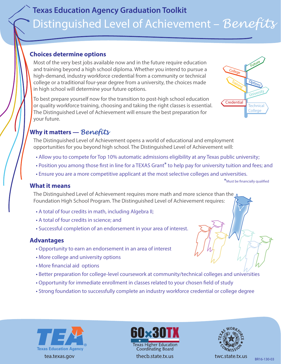## <span id="page-3-0"></span>**[Texas Education Agency Graduation Toolkit](#page-1-0)** Distinguished Level of Achievement – *Benefits*

### **Choices determine options**

Most of the very best jobs available now and in the future require education and training beyond a high school diploma. Whether you intend to pursue a high-demand, industry workforce credential from a community or technical college or a traditional four-year degree from a university, the choices made in high school will determine your future options.

To best prepare yourself now for the transition to post-high school education or quality workforce training, choosing and taking the right classes is essential. The Distinguished Level of Achievement will ensure the best preparation for your future.



### **Why it matters —** *Benefits*

The Distinguished Level of Achievement opens a world of educational and employment opportunities for you beyond high school. The Distinguished Level of Achievement will:

- Allow you to compete for Top 10% automatic admissions eligibility at any Texas public university;
- Position you among those first in line for a TEXAS Grant<sup>\*</sup> to help pay for university tuition and fees; and
- Ensure you are a more competitive applicant at the most selective colleges and universities.

\*Must be financially qualified

### **What it means**

The Distinguished Level of Achievement requires more math and more science than the  $\Lambda$ Foundation High School Program. The Distinguished Level of Achievement requires:

- A total of four credits in math, including Algebra II;
- A total of four credits in science; and
- Successful completion of an endorsement in your area of interest.

### **Advantages**

- Opportunity to earn an endorsement in an area of interest
- More college and university options
- More financial aid options
- Better preparation for college-level coursework at community/technical colleges and universities
- Opportunity for immediate enrollment in classes related to your chosen field of study
- Strong foundation to successfully complete an industry workforce credential or college degree







BR16-130-03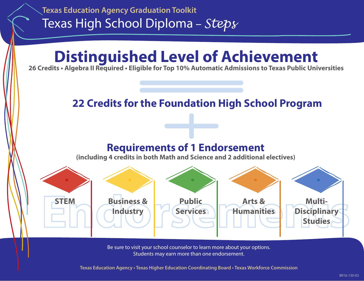<span id="page-4-0"></span>

Be sure to visit your school counselor to learn more about your options. Students may earn more than one endorsement.

**Texas Education Agency • Texas Higher Education Coordinating Board • Texas Workforce Commission**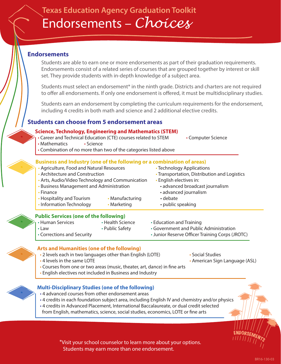## <span id="page-5-0"></span>**[Texas Education Agency Graduation Toolkit](#page-1-0)** Endorsements – *Choices*

### **Endorsements**

Students are able to earn one or more endorsements as part of their graduation requirements. Endorsements consist of a related series of courses that are grouped together by interest or skill set. They provide students with in-depth knowledge of a subject area.

Students must select an endorsement<sup>\*</sup> in the ninth grade. Districts and charters are not required to offer all endorsements. If only one endorsement is offered, it must be multidisciplinary studies.

Students earn an endorsement by completing the curriculum requirements for the endorsement, including 4 credits in both math and science and 2 additional elective credits.

### **Students can choose from 5 endorsement areas**

### **Science, Technology, Engineering and Mathematics (STEM)**

- Career and Technical Education (CTE) courses related to STEM Computer Science
- Mathematics Science
- Combination of no more than two of the categories listed above

### **Business and Industry (one of the following or a combination of areas)**

• Agriculture, Food and Natural Resources • Technology Applications • Architecture and Construction • Transportation, Distribution and Logistics • Arts, Audio/Video Technology and Communication • English electives in: • Business Management and Administration • advanced broadcast journalism • Finance • **Finance** • **advanced journalism** • Hospitality and Tourism • Manufacturing • debate • Information Technology • Marketing • public speaking

### **Public Services (one of the following)**

• Human Services • Health Science • Education and Training • Law • Public Safety • Government and Public Administration • Corrections and Security **•** *Generalia* • Junior Reserve Officer Training Corps (JROTC)

### **Arts and Humanities (one of the following)**

- 2 levels each in two languages other than English (LOTE) Social Studies
- 
- 4 levels in the same LOTE  **American Sign Language (ASL)** American Sign Language (ASL)
- Courses from one or two areas (music, theater, art, dance) in fine arts
- English electives not included in Business and Industry

### **Multi-Disciplinary Studies (one of the following)**

- 4 advanced courses from other endorsement areas
- 4 credits in each foundation subject area, including English IV and chemistry and/or physics
- 4 credits in Advanced Placement, International Baccalaureate, or dual credit selected from English, mathematics, science, social studies, economics, LOTE or fine arts

\*Visit your school counselor to learn more about your options. Students may earn more than one endorsement.

ENDORSEMENTS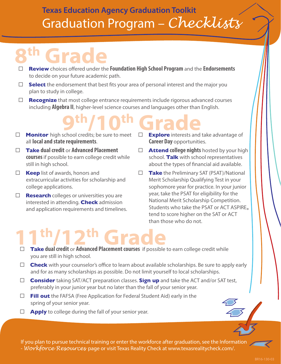## <span id="page-6-0"></span>**[Texas Education Agency Graduation Toolkit](#page-1-0)** Graduation Program – *Checklists*

# **8th Grade**

- □ Review choices offered under the **Foundation High School Program** and the **Endorsements** to decide on your future academic path.
- $\Box$  **Select** the endorsement that best fits your area of personal interest and the major you plan to study in college.
- □ **Recognize** that most college entrance requirements include rigorous advanced courses including **Algebra II**, higher-level science courses and languages other than English.

# **9th/10th Grade**

- **Monitor** high school credits; be sure to meet all **local and state requirements**.
- **Take dual credit** or **Advanced Placement courses** if possible to earn college credit while still in high school.
- **Keep** list of awards, honors and extracurricular activities for scholarship and college applications.
- **Research** colleges or universities you are interested in attending. **Check** admission and application requirements and timelines.
- **Explore** interests and take advantage of **Career Day opportunities.**
- **Attend college nights** hosted by your high school. **Talk** with school representatives about the types of financial aid available.
- **Take** the Preliminary SAT (PSAT)/National Merit Scholarship Qualifying Test in your sophomore year for practice. In your junior year, take the PSAT for eligibility for the National Merit Scholarship Competition. Students who take the PSAT or ACT ASPIRE<sup>®</sup><br>tend to score higher on the SAT or ACT than those who do not.

# **11th/12th Grade**<br>□ **Take dual credit** or **Advanced Placement courses** if possible to earn college credit while

- you are still in high school.
- $\Box$  **Check** with your counselor's office to learn about available scholarships. Be sure to apply early and for as many scholarships as possible. Do not limit yourself to local scholarships.
- **Consider** taking SAT/ACT preparation classes. **Sign up** and take the ACT and/or SAT test, preferably in your junior year but no later than the fall of your senior year.
- **Fill out** the FAFSA (Free Application for Federal Student Aid) early in the spring of your senior year.
- $\Box$  **Apply** to college during the fall of your senior year.

If you plan to pursue technical training or enter the workforce after graduation, see the Information - *Workforce Resources* page or visit Texas Reality Check at [www.texasrealitycheck.com/.](http://www.texasrealitycheck.com/)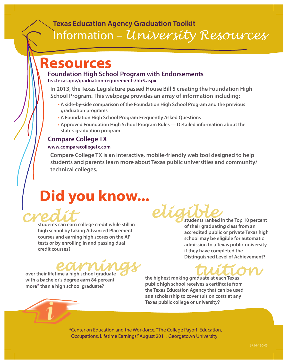## <span id="page-7-0"></span>**[Texas Education Agency Graduation Toolkit](#page-1-0)** [Information –](#page-1-0) *University Resources*

## **Resources**

### **Foundation High School Program with Endorsements [tea.texas.gov/graduation-requirements/hb5.aspx](http://tea.texas.gov/graduation-requirements/hb5.aspx)**

**In 2013, the Texas Legislature passed House Bill 5 creating the Foundation High [School Program. This webpage provides an array of information i](tea.texas.gov/Curriculum_and_Instructional_Programs/Graduation_Information/House_Bill_5__Foundation_High_School_Program/)ncluding:**

- **• A side-by-side comparison of the Foundation High School Program and the previous graduation programs**
- **• A Foundation High School Program Frequently Asked Questions**
- **• Approved Foundation High School Program Rules Detailed information about the state's graduation program**

### **Compare College TX**

### **www.comparecollegetx.com**

**Compare College TX is an interactive, mobile-friendly web tool designed to help students and parents learn more about Texas public universities and community/ [technical colleges.](http://www.comparecollegetx.com)**

# **Did you know...**



**high school by taking Advanced Placement courses and earning high scores on the AP tests or by enrolling in and passing dual credit courses?**

# **earning**<br>time a high school graduate<br>the highest ranking graduate at each Texas

**over their lifetime a high school graduate with a bachelor's degree earn 84 percent more\* than a high school graduate?**

eligible<sub>students</sub> ranked in the Top 10 percent

**of their graduating class from an accredited public or private Texas high school may be eligible for automatic admission to a Texas public university if they have completed the Distinguished Level of Achievement?**

**the highest ranking graduate at each Texas**  public high school receives a certificate from **the Texas Education Agency that can be used as a scholarship to cover tuition costs at any Texas public college or university?**

\*Center on Education and the Workforce, "The College Payoff: Education, Occupations, Lifetime Earnings," August 2011. Georgetown University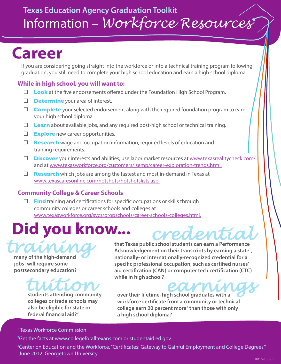## <span id="page-8-0"></span>**Career**

If you are considering going straight into the workforce or into a technical training program following graduation, you still need to complete your high school education and earn a high school diploma.

### **While in high school, you will want to:**

- $\Box$  **Look** at the five endorsements offered under the Foundation High School Program.
- **Determine** your area of interest.
- □ Complete your selected endorsement along with the required foundation program to earn your high school diploma.
- □ **Learn** about available jobs, and any required post-high school or technical training.
- **Explore** new career opportunities.
- **Research** wage and occupation information, required levels of education and training requirements.
- □ **Discover** your interests and abilities; use labor market resources at [www.texasrealitycheck.com/](http://www.texasrealitycheck.com/) and at [www.texasworkforce.org/customers/jsemp/career-exploration-trends.html.](http://www.texasworkforce.org/customers/jsemp/career-exploration-trends.html)
- **Research** which jobs are among the fastest and most in-demand in Texas at [www.texascaresonline.com/hotshots/hotshotslists.asp.](http://www.texascaresonline.com/hotshots/hotshotslists.asp)

### **Community College & Career Schools**

 $\Box$  **Find** training and certifications for specific occupations or skills through community colleges or career schools and colleges at [www.texasworkforce.org/svcs/propschools/career-schools-colleges.html.](http://www.texasworkforce.org/svcs/propschools/career-schools-colleges.html)

# **Did you know...**

*training* **many of the high-demand jobs1 will require some postsecondary education?** 

# *tuition* **students attending community**

**colleges or trade schools may also be eligible for state or**  federal financial aid?<sup>2</sup>

*credential* **that Texas public school students can earn a Performance Acknowledgement on their transcripts by earning a state-, nationally- or internationally-recognized credential for a**  specific professional occupation, such as certified nurses' aid certification (CAN) or computer tech certification (CTC) **while in high school?**

**earnings believe the control of the control of the control of the control of the control of the control of the control of the control of the control of the control of the control of the control of the control of the contr** workforce certificate from a community or technical **college earn 20 percent more3 than those with only a high school diploma?**

### <sup>1</sup> Texas Workforce Commission

**2** Get the facts at [www.collegeforalltexans.com](http://www.collegeforalltexans.com) or [studentaid.ed.gov](https://www.studentaid.ed.gov)

<sup>3</sup>Center on Education and the Workforce, "Certificates: Gateway to Gainful Employment and College Degrees," June 2012. Georgetown University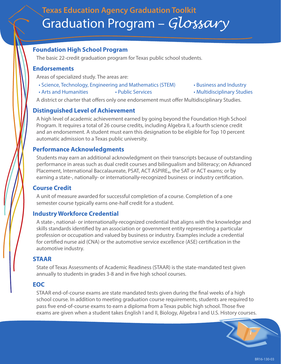## <span id="page-9-0"></span>**[Texas Education Agency Graduation Toolkit](#page-1-0)** Graduation Program – *Glossary*

### **Foundation High School Program**

The basic 22-credit graduation program for Texas public school students.

### **Endorsements**

Areas of specialized study. The areas are:

- Science, Technology, Engineering and Mathematics (STEM) Business and Industry
- Arts and Humanities Public Services Multidisciplinary Studies
- 
- 

A district or charter that offers only one endorsement must offer Multidisciplinary Studies.

### **Distinguished Level of Achievement**

A high level of academic achievement earned by going beyond the Foundation High School Program. It requires a total of 26 course credits, including Algebra II, a fourth science credit and an endorsement. A student must earn this designation to be eligible for Top 10 percent automatic admission to a Texas public university.

### **Performance Acknowledgments**

Students may earn an additional acknowledgment on their transcripts because of outstanding performance in areas such as dual credit courses and bilingualism and biliteracy; on Advanced Placement, International Baccalaureate, PSAT, ACT ASPIRE<sub>®</sub>, the SAT or ACT exams; or by earning a state-, nationally- or internationally-recognized business or industry certification.

### **Course Credit**

A unit of measure awarded for successful completion of a course. Completion of a one semester course typically earns one-half credit for a student.

### **Industry Workforce Credential**

A state-, national- or internationally-recognized credential that aligns with the knowledge and skills standards identified by an association or government entity representing a particular profession or occupation and valued by business or industry. Examples include a credential for certified nurse aid (CNA) or the automotive service excellence (ASE) certification in the automotive industry.

### **STAAR**

State of Texas Assessments of Academic Readiness (STAAR) is the state-mandated test given annually to students in grades 3-8 and in five high school courses.

### **EOC**

STAAR end-of-course exams are state mandated tests given during the final weeks of a high school course. In addition to meeting graduation course requirements, students are required to pass five end-of-course exams to earn a diploma from a Texas public high school. Those five exams are given when a student takes English I and II, Biology, Algebra I and U.S. History courses.

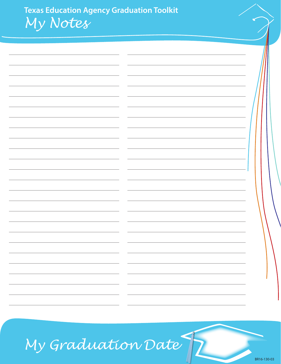**[Texas Education Agency Graduation Toolkit](#page-1-0)** *My Notes*

| -                        | $\overline{\phantom{a}}$ |  |
|--------------------------|--------------------------|--|
|                          |                          |  |
|                          |                          |  |
|                          |                          |  |
|                          |                          |  |
|                          |                          |  |
|                          |                          |  |
|                          |                          |  |
|                          |                          |  |
|                          |                          |  |
|                          |                          |  |
|                          |                          |  |
|                          |                          |  |
|                          |                          |  |
| $\overline{\phantom{0}}$ | $\sim$                   |  |
|                          |                          |  |
|                          |                          |  |
|                          | $\overline{\phantom{0}}$ |  |
|                          |                          |  |
|                          | -                        |  |
|                          |                          |  |
|                          | -                        |  |
|                          |                          |  |
|                          |                          |  |
|                          |                          |  |

# *My Graduation Date*